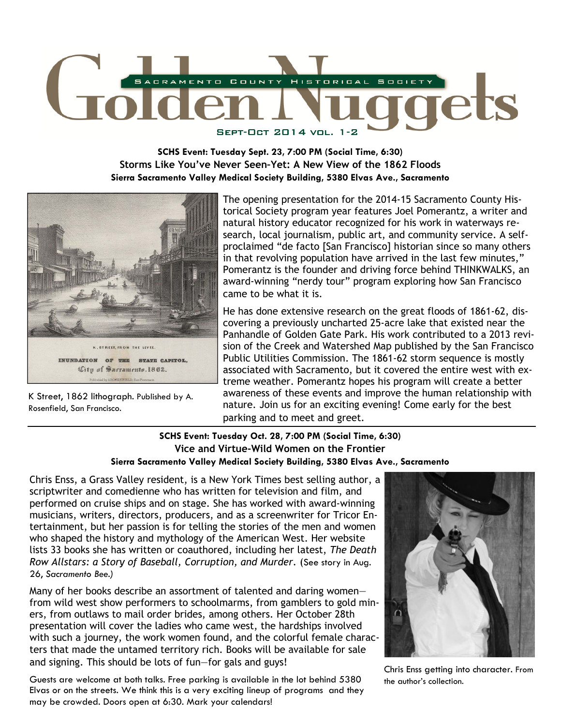

**SCHS Event: Tuesday Sept. 23, 7:00 PM (Social Time, 6:30) Storms Like You've Never Seen–Yet: A New View of the 1862 Floods Sierra Sacramento Valley Medical Society Building, 5380 Elvas Ave., Sacramento** 



K Street, 1862 lithograph. Published by A. Rosenfield, San Francisco.

The opening presentation for the 2014-15 Sacramento County Historical Society program year features Joel Pomerantz, a writer and natural history educator recognized for his work in waterways research, local journalism, public art, and community service. A selfproclaimed "de facto [San Francisco] historian since so many others in that revolving population have arrived in the last few minutes," Pomerantz is the founder and driving force behind THINKWALKS, an award-winning "nerdy tour" program exploring how San Francisco came to be what it is.

He has done extensive research on the great floods of 1861-62, discovering a previously uncharted 25-acre lake that existed near the Panhandle of Golden Gate Park. His work contributed to a 2013 revision of the Creek and Watershed Map published by the San Francisco Public Utilities Commission. The 1861-62 storm sequence is mostly associated with Sacramento, but it covered the entire west with extreme weather. Pomerantz hopes his program will create a better awareness of these events and improve the human relationship with nature. Join us for an exciting evening! Come early for the best parking and to meet and greet.

#### **SCHS Event: Tuesday Oct. 28, 7:00 PM (Social Time, 6:30) Vice and Virtue-Wild Women on the Frontier Sierra Sacramento Valley Medical Society Building, 5380 Elvas Ave., Sacramento**

Chris Enss, a Grass Valley resident, is a New York Times best selling author, a scriptwriter and comedienne who has written for television and film, and performed on cruise ships and on stage. She has worked with award-winning musicians, writers, directors, producers, and as a screenwriter for Tricor Entertainment, but her passion is for telling the stories of the men and women who shaped the history and mythology of the American West. Her website lists 33 books she has written or coauthored, including her latest, *The Death Row Allstars: a Story of Baseball, Corruption, and Murder*. (See story in Aug. 26, *Sacramento Bee.)*

Many of her books describe an assortment of talented and daring women from wild west show performers to schoolmarms, from gamblers to gold miners, from outlaws to mail order brides, among others. Her October 28th presentation will cover the ladies who came west, the hardships involved with such a journey, the work women found, and the colorful female characters that made the untamed territory rich. Books will be available for sale and signing. This should be lots of fun—for gals and guys!

Guests are welcome at both talks. Free parking is available in the lot behind 5380 Elvas or on the streets. We think this is a very exciting lineup of programs and they may be crowded. Doors open at 6:30. Mark your calendars!



Chris Enss getting into character. From the author's collection.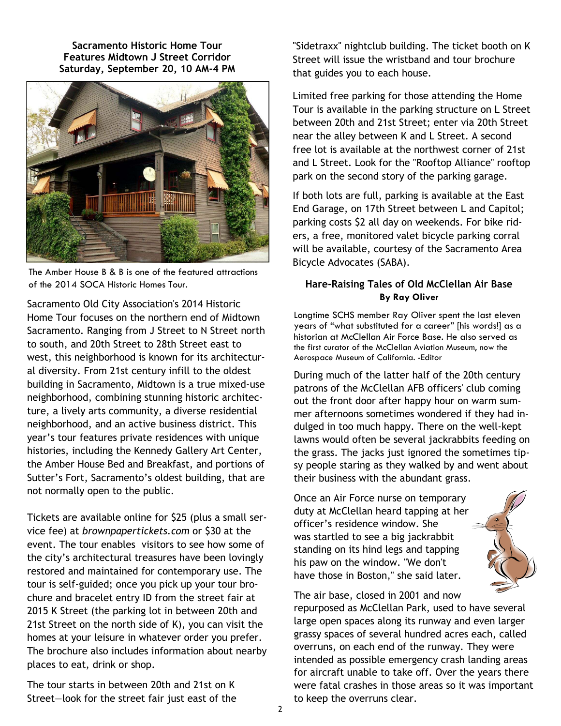**Sacramento Historic Home Tour Features Midtown J Street Corridor Saturday, September 20, 10 AM-4 PM** 



The Amber House B & B is one of the featured attractions of the 2014 SOCA Historic Homes Tour. **Hare-Raising Tales of Old McClellan Air Base** 

Sacramento Old City Association's 2014 Historic Home Tour focuses on the northern end of Midtown Sacramento. Ranging from J Street to N Street north to south, and 20th Street to 28th Street east to west, this neighborhood is known for its architectural diversity. From 21st century infill to the oldest building in Sacramento, Midtown is a true mixed-use neighborhood, combining stunning historic architecture, a lively arts community, a diverse residential neighborhood, and an active business district. This year's tour features private residences with unique histories, including the Kennedy Gallery Art Center, the Amber House Bed and Breakfast, and portions of Sutter's Fort, Sacramento's oldest building, that are not normally open to the public.

Tickets are available online for \$25 (plus a small service fee) at *brownpapertickets.com* or \$30 at the event. The tour enables visitors to see how some of the city's architectural treasures have been lovingly restored and maintained for contemporary use. The tour is self-guided; once you pick up your tour brochure and bracelet entry ID from the street fair at 2015 K Street (the parking lot in between 20th and 21st Street on the north side of K), you can visit the homes at your leisure in whatever order you prefer. The brochure also includes information about nearby places to eat, drink or shop.

The tour starts in between 20th and 21st on K Street—look for the street fair just east of the

"Sidetraxx" nightclub building. The ticket booth on K Street will issue the wristband and tour brochure that guides you to each house.

Limited free parking for those attending the Home Tour is available in the parking structure on L Street between 20th and 21st Street; enter via 20th Street near the alley between K and L Street. A second free lot is available at the northwest corner of 21st and L Street. Look for the "Rooftop Alliance" rooftop park on the second story of the parking garage.

If both lots are full, parking is available at the East End Garage, on 17th Street between L and Capitol; parking costs \$2 all day on weekends. For bike riders, a free, monitored valet bicycle parking corral will be available, courtesy of the Sacramento Area Bicycle Advocates (SABA).

# **By Ray Oliver**

Longtime SCHS member Ray Oliver spent the last eleven years of "what substituted for a career" [his words!] as a historian at McClellan Air Force Base. He also served as the first curator of the McClellan Aviation Museum, now the Aerospace Museum of California. -Editor

During much of the latter half of the 20th century patrons of the McClellan AFB officers' club coming out the front door after happy hour on warm summer afternoons sometimes wondered if they had indulged in too much happy. There on the well-kept lawns would often be several jackrabbits feeding on the grass. The jacks just ignored the sometimes tipsy people staring as they walked by and went about their business with the abundant grass.

Once an Air Force nurse on temporary duty at McClellan heard tapping at her officer's residence window. She was startled to see a big jackrabbit standing on its hind legs and tapping his paw on the window. "We don't have those in Boston," she said later.



The air base, closed in 2001 and now repurposed as McClellan Park, used to have several large open spaces along its runway and even larger grassy spaces of several hundred acres each, called overruns, on each end of the runway. They were intended as possible emergency crash landing areas for aircraft unable to take off. Over the years there were fatal crashes in those areas so it was important to keep the overruns clear.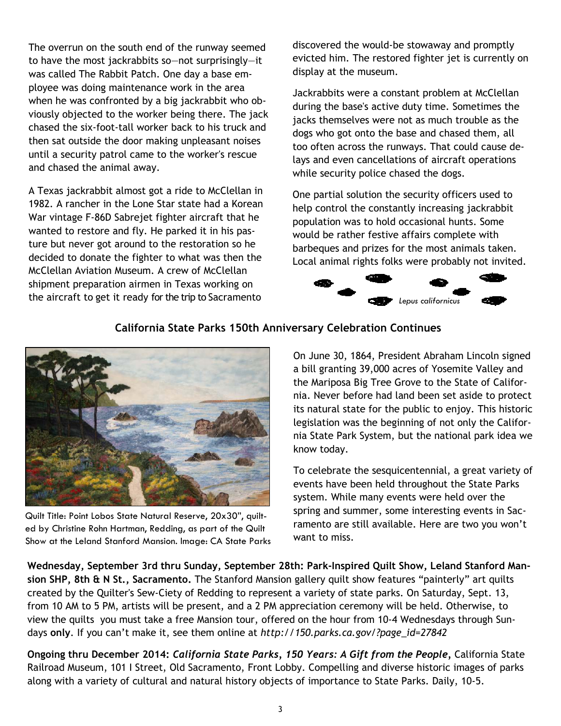The overrun on the south end of the runway seemed to have the most jackrabbits so—not surprisingly—it was called The Rabbit Patch. One day a base employee was doing maintenance work in the area when he was confronted by a big jackrabbit who obviously objected to the worker being there. The jack chased the six-foot-tall worker back to his truck and then sat outside the door making unpleasant noises until a security patrol came to the worker's rescue and chased the animal away.

A Texas jackrabbit almost got a ride to McClellan in 1982. A rancher in the Lone Star state had a Korean War vintage F-86D Sabrejet fighter aircraft that he wanted to restore and fly. He parked it in his pasture but never got around to the restoration so he decided to donate the fighter to what was then the McClellan Aviation Museum. A crew of McClellan shipment preparation airmen in Texas working on the aircraft to get it ready for the trip to Sacramento

discovered the would-be stowaway and promptly evicted him. The restored fighter jet is currently on display at the museum.

Jackrabbits were a constant problem at McClellan during the base's active duty time. Sometimes the jacks themselves were not as much trouble as the dogs who got onto the base and chased them, all too often across the runways. That could cause delays and even cancellations of aircraft operations while security police chased the dogs.

One partial solution the security officers used to help control the constantly increasing jackrabbit population was to hold occasional hunts. Some would be rather festive affairs complete with barbeques and prizes for the most animals taken. Local animal rights folks were probably not invited.



## **California State Parks 150th Anniversary Celebration Continues**



Quilt Title: Point Lobos State Natural Reserve, 20x30", quilted by Christine Rohn Hartman, Redding, as part of the Quilt Show at the Leland Stanford Mansion. Image: CA State Parks

On June 30, 1864, President Abraham Lincoln signed a bill granting 39,000 acres of Yosemite Valley and the Mariposa Big Tree Grove to the State of California. Never before had land been set aside to protect its natural state for the public to enjoy. This historic legislation was the beginning of not only the California State Park System, but the national park idea we know today.

To celebrate the sesquicentennial, a great variety of events have been held throughout the State Parks system. While many events were held over the spring and summer, some interesting events in Sacramento are still available. Here are two you won't want to miss.

**Wednesday, September 3rd thru Sunday, September 28th: Park-Inspired Quilt Show, Leland Stanford Mansion SHP, 8th & N St., Sacramento.** The Stanford Mansion gallery quilt show features "painterly" art quilts created by the Quilter's Sew-Ciety of Redding to represent a variety of state parks. On Saturday, Sept. 13, from 10 AM to 5 PM, artists will be present, and a 2 PM appreciation ceremony will be held. Otherwise, to view the quilts you must take a free Mansion tour, offered on the hour from 10-4 Wednesdays through Sundays **only**. If you can't make it, see them online at *http://150.parks.ca.gov/?page\_id=27842*

**Ongoing thru December 2014:** *California State Parks, 150 Years: A Gift from the People,* California State Railroad Museum, 101 I Street, Old Sacramento, Front Lobby. Compelling and diverse historic images of parks along with a variety of cultural and natural history objects of importance to State Parks. Daily, 10-5.